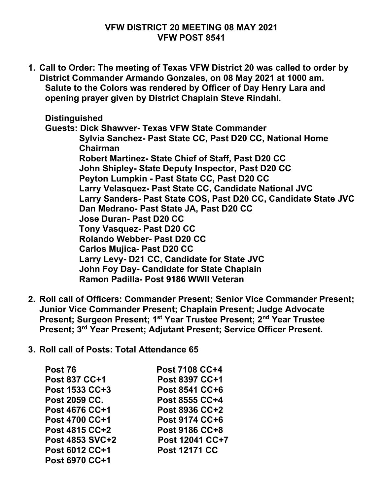## **VFW DISTRICT 20 MEETING 08 MAY 2021 VFW POST 8541**

**1. Call to Order: The meeting of Texas VFW District 20 was called to order by District Commander Armando Gonzales, on 08 May 2021 at 1000 am. Salute to the Colors was rendered by Officer of Day Henry Lara and opening prayer given by District Chaplain Steve Rindahl.**

**Distinguished**

**Guests: Dick Shawver- Texas VFW State Commander Sylvia Sanchez- Past State CC, Past D20 CC, National Home Chairman Robert Martinez- State Chief of Staff, Past D20 CC John Shipley- State Deputy Inspector, Past D20 CC Peyton Lumpkin - Past State CC, Past D20 CC Larry Velasquez- Past State CC, Candidate National JVC Larry Sanders- Past State COS, Past D20 CC, Candidate State JVC Dan Medrano- Past State JA, Past D20 CC Jose Duran- Past D20 CC Tony Vasquez- Past D20 CC Rolando Webber- Past D20 CC Carlos Mujica- Past D20 CC Larry Levy- D21 CC, Candidate for State JVC John Foy Day- Candidate for State Chaplain Ramon Padilla- Post 9186 WWII Veteran** 

- **2. Roll call of Officers: Commander Present; Senior Vice Commander Present; Junior Vice Commander Present; Chaplain Present; Judge Advocate Present; Surgeon Present; 1st Year Trustee Present; 2nd Year Trustee Present; 3rd Year Present; Adjutant Present; Service Officer Present.**
- **3. Roll call of Posts: Total Attendance 65**

| Post 76                                 | <b>Post 7108 CC+4</b>            |
|-----------------------------------------|----------------------------------|
| <b>Post 837 CC+1</b>                    | <b>Post 8397 CC+1</b>            |
| Post 1533 CC+3                          | Post 8541 CC+6                   |
| <b>Post 2059 CC.</b>                    | Post 8555 CC+4                   |
| <b>Post 4676 CC+1</b><br>Post 4700 CC+1 | Post 8936 CC+2<br>Post 9174 CC+6 |
|                                         |                                  |
| Post 4853 SVC+2                         | Post 12041 CC+7                  |
| Post 6012 CC+1                          | <b>Post 12171 CC</b>             |
| <b>Post 6970 CC+1</b>                   |                                  |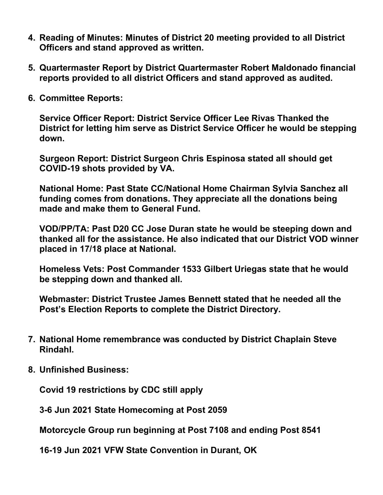- **4. Reading of Minutes: Minutes of District 20 meeting provided to all District Officers and stand approved as written.**
- **5. Quartermaster Report by District Quartermaster Robert Maldonado financial reports provided to all district Officers and stand approved as audited.**
- **6. Committee Reports:**

**Service Officer Report: District Service Officer Lee Rivas Thanked the District for letting him serve as District Service Officer he would be stepping down.**

**Surgeon Report: District Surgeon Chris Espinosa stated all should get COVID-19 shots provided by VA.**

**National Home: Past State CC/National Home Chairman Sylvia Sanchez all funding comes from donations. They appreciate all the donations being made and make them to General Fund.**

**VOD/PP/TA: Past D20 CC Jose Duran state he would be steeping down and thanked all for the assistance. He also indicated that our District VOD winner placed in 17/18 place at National.**

**Homeless Vets: Post Commander 1533 Gilbert Uriegas state that he would be stepping down and thanked all.**

**Webmaster: District Trustee James Bennett stated that he needed all the Post's Election Reports to complete the District Directory.**

- **7. National Home remembrance was conducted by District Chaplain Steve Rindahl.**
- **8. Unfinished Business:**

**Covid 19 restrictions by CDC still apply**

**3-6 Jun 2021 State Homecoming at Post 2059**

**Motorcycle Group run beginning at Post 7108 and ending Post 8541**

**16-19 Jun 2021 VFW State Convention in Durant, OK**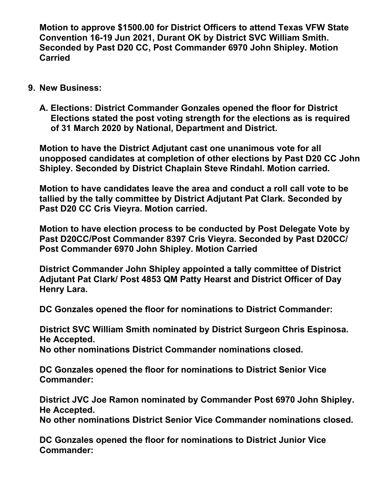**Motion to approve \$1500.00 for District Officers to attend Texas VFW State Convention 16-19 Jun 2021, Durant OK by District SVC William Smith. Seconded by Past D20 CC, Post Commander 6970 John Shipley. Motion Carried**

- **9. New Business:**
	- **A. Elections: District Commander Gonzales opened the floor for District Elections stated the post voting strength for the elections as is required of 31 March 2020 by National, Department and District.**

**Motion to have the District Adjutant cast one unanimous vote for all unopposed candidates at completion of other elections by Past D20 CC John Shipley. Seconded by District Chaplain Steve Rindahl. Motion carried.**

**Motion to have candidates leave the area and conduct a roll call vote to be tallied by the tally committee by District Adjutant Pat Clark. Seconded by Past D20 CC Cris Vieyra. Motion carried.**

**Motion to have election process to be conducted by Post Delegate Vote by Past D20CC/Post Commander 8397 Cris Vieyra. Seconded by Past D20CC/ Post Commander 6970 John Shipley. Motion Carried**

**District Commander John Shipley appointed a tally committee of District Adjutant Pat Clark/ Post 4853 QM Patty Hearst and District Officer of Day Henry Lara.**

**DC Gonzales opened the floor for nominations to District Commander:** 

 **District SVC William Smith nominated by District Surgeon Chris Espinosa. He Accepted.**

**No other nominations District Commander nominations closed.**

**DC Gonzales opened the floor for nominations to District Senior Vice Commander:**

**District JVC Joe Ramon nominated by Commander Post 6970 John Shipley. He Accepted.**

**No other nominations District Senior Vice Commander nominations closed.**

**DC Gonzales opened the floor for nominations to District Junior Vice Commander:**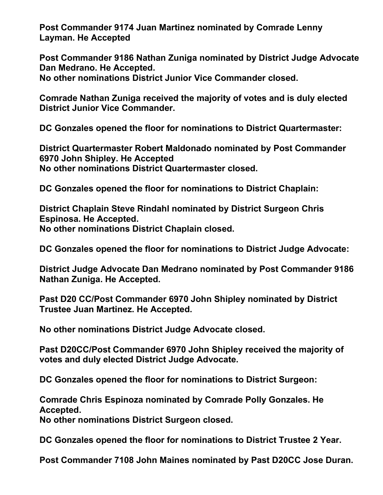**Post Commander 9174 Juan Martinez nominated by Comrade Lenny Layman. He Accepted**

**Post Commander 9186 Nathan Zuniga nominated by District Judge Advocate Dan Medrano. He Accepted.**

**No other nominations District Junior Vice Commander closed.**

**Comrade Nathan Zuniga received the majority of votes and is duly elected District Junior Vice Commander.**

**DC Gonzales opened the floor for nominations to District Quartermaster:**

**District Quartermaster Robert Maldonado nominated by Post Commander 6970 John Shipley. He Accepted No other nominations District Quartermaster closed.**

**DC Gonzales opened the floor for nominations to District Chaplain:**

**District Chaplain Steve Rindahl nominated by District Surgeon Chris Espinosa. He Accepted. No other nominations District Chaplain closed.**

**DC Gonzales opened the floor for nominations to District Judge Advocate:**

**District Judge Advocate Dan Medrano nominated by Post Commander 9186 Nathan Zuniga. He Accepted.**

**Past D20 CC/Post Commander 6970 John Shipley nominated by District Trustee Juan Martinez. He Accepted.**

**No other nominations District Judge Advocate closed.**

**Past D20CC/Post Commander 6970 John Shipley received the majority of votes and duly elected District Judge Advocate.**

**DC Gonzales opened the floor for nominations to District Surgeon:**

**Comrade Chris Espinoza nominated by Comrade Polly Gonzales. He Accepted.**

**No other nominations District Surgeon closed.**

**DC Gonzales opened the floor for nominations to District Trustee 2 Year.**

**Post Commander 7108 John Maines nominated by Past D20CC Jose Duran.**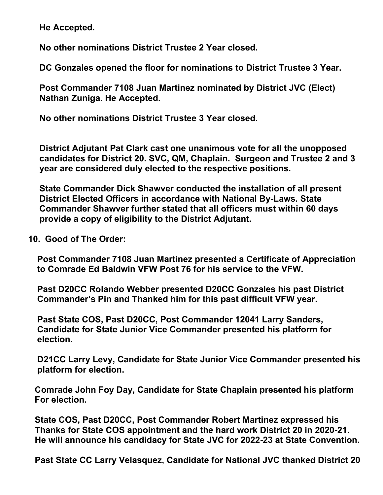**He Accepted.**

**No other nominations District Trustee 2 Year closed.**

**DC Gonzales opened the floor for nominations to District Trustee 3 Year.**

**Post Commander 7108 Juan Martinez nominated by District JVC (Elect) Nathan Zuniga. He Accepted.**

**No other nominations District Trustee 3 Year closed.**

**District Adjutant Pat Clark cast one unanimous vote for all the unopposed candidates for District 20. SVC, QM, Chaplain. Surgeon and Trustee 2 and 3 year are considered duly elected to the respective positions.**

**State Commander Dick Shawver conducted the installation of all present District Elected Officers in accordance with National By-Laws. State Commander Shawver further stated that all officers must within 60 days provide a copy of eligibility to the District Adjutant.**

## **10. Good of The Order:**

 **Post Commander 7108 Juan Martinez presented a Certificate of Appreciation to Comrade Ed Baldwin VFW Post 76 for his service to the VFW.**

 **Past D20CC Rolando Webber presented D20CC Gonzales his past District Commander's Pin and Thanked him for this past difficult VFW year.**

 **Past State COS, Past D20CC, Post Commander 12041 Larry Sanders, Candidate for State Junior Vice Commander presented his platform for election.**

 **D21CC Larry Levy, Candidate for State Junior Vice Commander presented his platform for election.**

 **Comrade John Foy Day, Candidate for State Chaplain presented his platform For election.**

 **State COS, Past D20CC, Post Commander Robert Martinez expressed his Thanks for State COS appointment and the hard work District 20 in 2020-21. He will announce his candidacy for State JVC for 2022-23 at State Convention.**

 **Past State CC Larry Velasquez, Candidate for National JVC thanked District 20**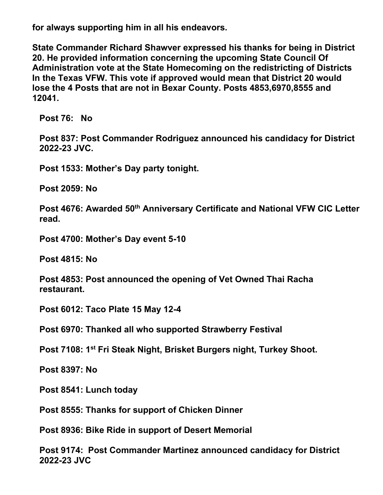**for always supporting him in all his endeavors.**

 **State Commander Richard Shawver expressed his thanks for being in District 20. He provided information concerning the upcoming State Council Of Administration vote at the State Homecoming on the redistricting of Districts In the Texas VFW. This vote if approved would mean that District 20 would lose the 4 Posts that are not in Bexar County. Posts 4853,6970,8555 and 12041.** 

**Post 76: No**

**Post 837: Post Commander Rodriguez announced his candidacy for District 2022-23 JVC.**

**Post 1533: Mother's Day party tonight.**

**Post 2059: No**

**Post 4676: Awarded 50th Anniversary Certificate and National VFW CIC Letter read.**

**Post 4700: Mother's Day event 5-10**

**Post 4815: No**

**Post 4853: Post announced the opening of Vet Owned Thai Racha restaurant.**

**Post 6012: Taco Plate 15 May 12-4**

**Post 6970: Thanked all who supported Strawberry Festival**

**Post 7108: 1st Fri Steak Night, Brisket Burgers night, Turkey Shoot.**

**Post 8397: No**

**Post 8541: Lunch today**

**Post 8555: Thanks for support of Chicken Dinner**

**Post 8936: Bike Ride in support of Desert Memorial**

**Post 9174: Post Commander Martinez announced candidacy for District 2022-23 JVC**